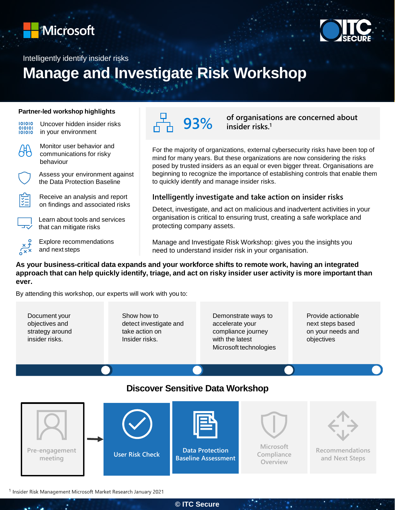



Intelligently identify insider risks

# **Manage and Investigate Risk Workshop**

#### **Partner-led workshop highlights**

101010 010101

Uncover hidden insider risks in your environment



Monitor user behavior and communications for risky behaviour

Assess your environment against the Data Protection Baseline



Receive an analysis and report on findings and associated risks

Learn about tools and services that can mitigate risks

Explore recommendations and next steps

**93% of organisations are concerned about insider risks.<sup>1</sup>**

For the majority of organizations, external cybersecurity risks have been top of mind for many years. But these organizations are now considering the risks posed by trusted insiders as an equal or even bigger threat. Organisations are beginning to recognize the importance of establishing controls that enable them to quickly identify and manage insider risks.

#### **Intelligently investigate and take action on insider risks**

Detect, investigate, and act on malicious and inadvertent activities in your organisation is critical to ensuring trust, creating a safe workplace and protecting company assets.

Manage and Investigate Risk Workshop: gives you the insights you need to understand insider risk in your organisation.

**As your business-critical data expands and your workforce shifts to remote work, having an integrated approach that can help quickly identify, triage, and act on risky insider user activity is more important than ever.**

By attending this workshop, our experts will work with you to:

Document your objectives and strategy around insider risks.

Show how to detect investigate and take action on Insider risks.

Demonstrate ways to accelerate your compliance journey with the latest Microsoft technologies Provide actionable next steps based on your needs and objectives

### **Discover Sensitive Data Workshop**



<sup>1</sup> Insider Risk Management Microsoft Market Research January 2021